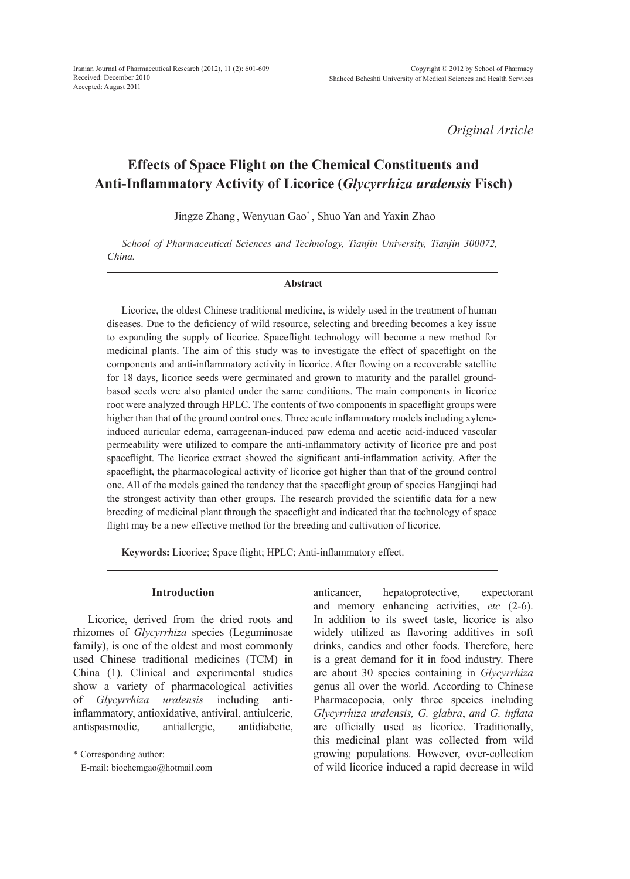Iranian Journal of Pharmaceutical Research (2012), 11 (2): 601-609 Received: December 2010 Accepted: August 2011

*Original Article*

# **Effects of Space Flight on the Chemical Constituents and Anti-Inflammatory Activity of Licorice (***Glycyrrhiza uralensis* **Fisch)**

Jingze Zhang , Wenyuan Gao\* , Shuo Yan and Yaxin Zhao

*School of Pharmaceutical Sciences and Technology, Tianjin University, Tianjin 300072, China.*

#### **Abstract**

Licorice, the oldest Chinese traditional medicine, is widely used in the treatment of human diseases. Due to the deficiency of wild resource, selecting and breeding becomes a key issue to expanding the supply of licorice. Spaceflight technology will become a new method for medicinal plants. The aim of this study was to investigate the effect of spaceflight on the components and anti-inflammatory activity in licorice. After flowing on a recoverable satellite for 18 days, licorice seeds were germinated and grown to maturity and the parallel groundbased seeds were also planted under the same conditions. The main components in licorice root were analyzed through HPLC. The contents of two components in spaceflight groups were higher than that of the ground control ones. Three acute inflammatory models including xyleneinduced auricular edema, carrageenan-induced paw edema and acetic acid-induced vascular permeability were utilized to compare the anti-inflammatory activity of licorice pre and post spaceflight. The licorice extract showed the significant anti-inflammation activity. After the spaceflight, the pharmacological activity of licorice got higher than that of the ground control one. All of the models gained the tendency that the spaceflight group of species Hangjinqi had the strongest activity than other groups. The research provided the scientific data for a new breeding of medicinal plant through the spaceflight and indicated that the technology of space flight may be a new effective method for the breeding and cultivation of licorice.

**Keywords:** Licorice; Space flight; HPLC; Anti-inflammatory effect.

# **Introduction**

Licorice, derived from the dried roots and rhizomes of *Glycyrrhiza* species (Leguminosae family), is one of the oldest and most commonly used Chinese traditional medicines (TCM) in China (1). Clinical and experimental studies show a variety of pharmacological activities of *Glycyrrhiza uralensis* including antiinflammatory, antioxidative, antiviral, antiulceric, antispasmodic, antiallergic, antidiabetic, anticancer, hepatoprotective, expectorant and memory enhancing activities, *etc* (2-6). In addition to its sweet taste, licorice is also widely utilized as flavoring additives in soft drinks, candies and other foods. Therefore, here is a great demand for it in food industry. There are about 30 species containing in *Glycyrrhiza*  genus all over the world. According to Chinese Pharmacopoeia, only three species including *Glycyrrhiza uralensis, G. glabra*, *and G. inflata* are officially used as licorice. Traditionally, this medicinal plant was collected from wild growing populations. However, over-collection of wild licorice induced a rapid decrease in wild

<sup>\*</sup> Corresponding author:

E-mail: biochemgao@hotmail.com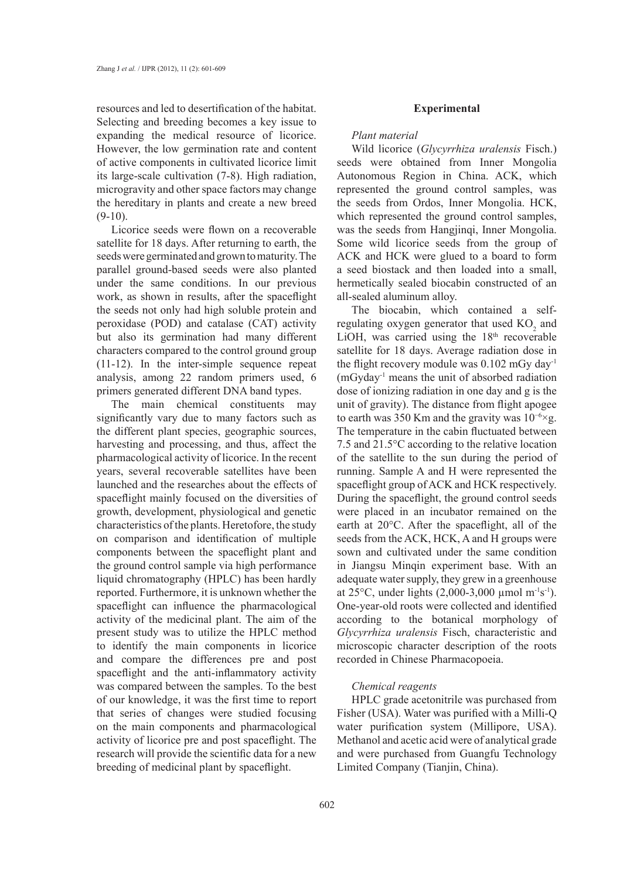resources and led to desertification of the habitat. Selecting and breeding becomes a key issue to expanding the medical resource of licorice. However, the low germination rate and content of active components in cultivated licorice limit its large-scale cultivation (7-8). High radiation, microgravity and other space factors may change the hereditary in plants and create a new breed  $(9-10)$ .

Licorice seeds were flown on a recoverable satellite for 18 days. After returning to earth, the seeds were germinated and grown to maturity. The parallel ground-based seeds were also planted under the same conditions. In our previous work, as shown in results, after the spaceflight the seeds not only had high soluble protein and peroxidase (POD) and catalase (CAT) activity but also its germination had many different characters compared to the control ground group (11-12). In the inter-simple sequence repeat analysis, among 22 random primers used, 6 primers generated different DNA band types.

The main chemical constituents may significantly vary due to many factors such as the different plant species, geographic sources, harvesting and processing, and thus, affect the pharmacological activity of licorice. In the recent years, several recoverable satellites have been launched and the researches about the effects of spaceflight mainly focused on the diversities of growth, development, physiological and genetic characteristics of the plants. Heretofore, the study on comparison and identification of multiple components between the spaceflight plant and the ground control sample via high performance liquid chromatography (HPLC) has been hardly reported. Furthermore, it is unknown whether the spaceflight can influence the pharmacological activity of the medicinal plant. The aim of the present study was to utilize the HPLC method to identify the main components in licorice and compare the differences pre and post spaceflight and the anti-inflammatory activity was compared between the samples. To the best of our knowledge, it was the first time to report that series of changes were studied focusing on the main components and pharmacological activity of licorice pre and post spaceflight. The research will provide the scientific data for a new breeding of medicinal plant by spaceflight.

#### **Experimental**

### *Plant material*

Wild licorice (*Glycyrrhiza uralensis* Fisch.) seeds were obtained from Inner Mongolia Autonomous Region in China. ACK, which represented the ground control samples, was the seeds from Ordos, Inner Mongolia. HCK, which represented the ground control samples, was the seeds from Hangjinqi, Inner Mongolia. Some wild licorice seeds from the group of ACK and HCK were glued to a board to form a seed biostack and then loaded into a small, hermetically sealed biocabin constructed of an all-sealed aluminum alloy.

The biocabin, which contained a selfregulating oxygen generator that used  $KO<sub>2</sub>$  and LiOH, was carried using the 18<sup>th</sup> recoverable satellite for 18 days. Average radiation dose in the flight recovery module was 0.102 mGy day-1 (mGyday-1 means the unit of absorbed radiation dose of ionizing radiation in one day and g is the unit of gravity). The distance from flight apogee to earth was 350 Km and the gravity was 10−6×g. The temperature in the cabin fluctuated between 7.5 and 21.5°C according to the relative location of the satellite to the sun during the period of running. Sample A and H were represented the spaceflight group of ACK and HCK respectively. During the spaceflight, the ground control seeds were placed in an incubator remained on the earth at 20°C. After the spaceflight, all of the seeds from the ACK, HCK, A and H groups were sown and cultivated under the same condition in Jiangsu Minqin experiment base. With an adequate water supply, they grew in a greenhouse at 25 $^{\circ}$ C, under lights (2,000-3,000 µmol m<sup>-1</sup>s<sup>-1</sup>). One-year-old roots were collected and identified according to the botanical morphology of *Glycyrrhiza uralensis* Fisch, characteristic and microscopic character description of the roots recorded in Chinese Pharmacopoeia.

## *Chemical reagents*

HPLC grade acetonitrile was purchased from Fisher (USA). Water was purified with a Milli-Q water purification system (Millipore, USA). Methanol and acetic acid were of analytical grade and were purchased from Guangfu Technology Limited Company (Tianjin, China).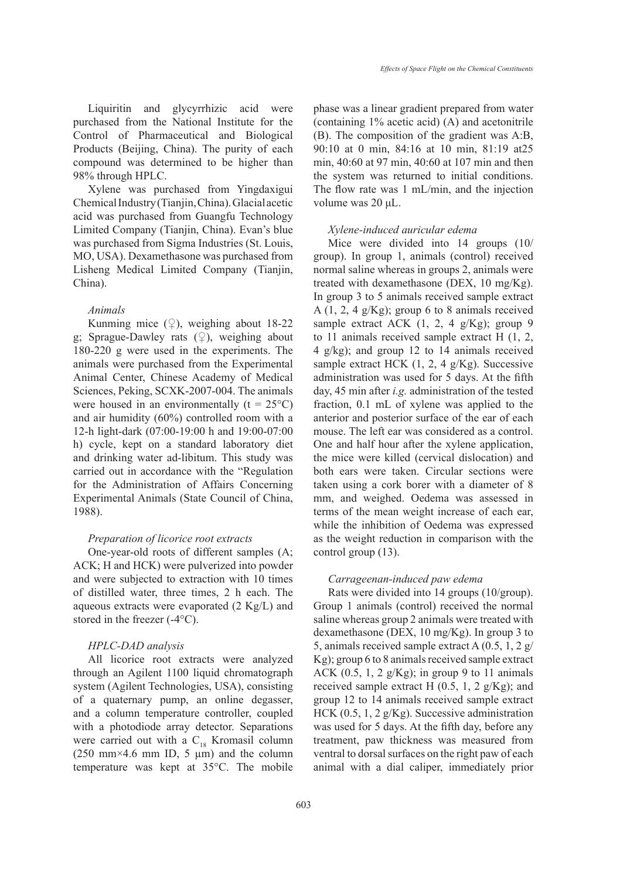Liquiritin and glycyrrhizic acid were purchased from the National Institute for the Control of Pharmaceutical and Biological Products (Beijing, China). The purity of each compound was determined to be higher than 98% through HPLC.

Xylene was purchased from Yingdaxigui Chemical Industry (Tianjin, China). Glacial acetic acid was purchased from Guangfu Technology Limited Company (Tianjin, China). Evan's blue was purchased from Sigma Industries (St. Louis, MO, USA). Dexamethasone was purchased from Lisheng Medical Limited Company (Tianjin, China).

## *Animals*

Kunming mice  $(\circled{2})$ , weighing about 18-22 g; Sprague-Dawley rats  $(\varphi)$ , weighing about 180-220 g were used in the experiments. The animals were purchased from the Experimental Animal Center, Chinese Academy of Medical Sciences, Peking, SCXK-2007-004. The animals were housed in an environmentally  $(t = 25^{\circ}C)$ and air humidity (60%) controlled room with a 12-h light-dark (07:00-19:00 h and 19:00-07:00 h) cycle, kept on a standard laboratory diet and drinking water ad-libitum. This study was carried out in accordance with the "Regulation for the Administration of Affairs Concerning Experimental Animals (State Council of China, 1988).

## *Preparation of licorice root extracts*

One-year-old roots of different samples (A; ACK; H and HCK) were pulverized into powder and were subjected to extraction with 10 times of distilled water, three times, 2 h each. The aqueous extracts were evaporated (2 Kg/L) and stored in the freezer (-4°C).

# *HPLC-DAD analysis*

All licorice root extracts were analyzed through an Agilent 1100 liquid chromatograph system (Agilent Technologies, USA), consisting of a quaternary pump, an online degasser, and a column temperature controller, coupled with a photodiode array detector. Separations were carried out with a  $C_{18}$  Kromasil column  $(250 \text{ mm} \times 4.6 \text{ mm} \text{ ID}, 5 \text{ \mu m})$  and the column temperature was kept at 35°C. The mobile phase was a linear gradient prepared from water (containing 1% acetic acid) (A) and acetonitrile (B). The composition of the gradient was A:B, 90:10 at 0 min, 84:16 at 10 min, 81:19 at25 min, 40:60 at 97 min, 40:60 at 107 min and then the system was returned to initial conditions. The flow rate was 1 mL/min, and the injection volume was 20 μL.

## *Xylene-induced auricular edema*

Mice were divided into 14 groups (10/ group). In group 1, animals (control) received normal saline whereas in groups 2, animals were treated with dexamethasone (DEX, 10 mg/Kg). In group 3 to 5 animals received sample extract A  $(1, 2, 4 \text{ g/Kg})$ ; group 6 to 8 animals received sample extract ACK  $(1, 2, 4 \text{ g/Kg})$ ; group 9 to 11 animals received sample extract H (1, 2, 4 g/kg); and group 12 to 14 animals received sample extract HCK (1, 2, 4 g/Kg). Successive administration was used for 5 days. At the fifth day, 45 min after *i.g.* administration of the tested fraction, 0.1 mL of xylene was applied to the anterior and posterior surface of the ear of each mouse. The left ear was considered as a control. One and half hour after the xylene application, the mice were killed (cervical dislocation) and both ears were taken. Circular sections were taken using a cork borer with a diameter of 8 mm, and weighed. Oedema was assessed in terms of the mean weight increase of each ear, while the inhibition of Oedema was expressed as the weight reduction in comparison with the control group (13).

### *Carrageenan-induced paw edema*

Rats were divided into 14 groups (10/group). Group 1 animals (control) received the normal saline whereas group 2 animals were treated with dexamethasone (DEX, 10 mg/Kg). In group 3 to 5, animals received sample extract A (0.5, 1, 2 g/ Kg); group 6 to 8 animals received sample extract ACK  $(0.5, 1, 2 \frac{g}{Kg})$ ; in group 9 to 11 animals received sample extract H  $(0.5, 1, 2 \text{ g/Kg})$ ; and group 12 to 14 animals received sample extract HCK (0.5, 1, 2 g/Kg). Successive administration was used for 5 days. At the fifth day, before any treatment, paw thickness was measured from ventral to dorsal surfaces on the right paw of each animal with a dial caliper, immediately prior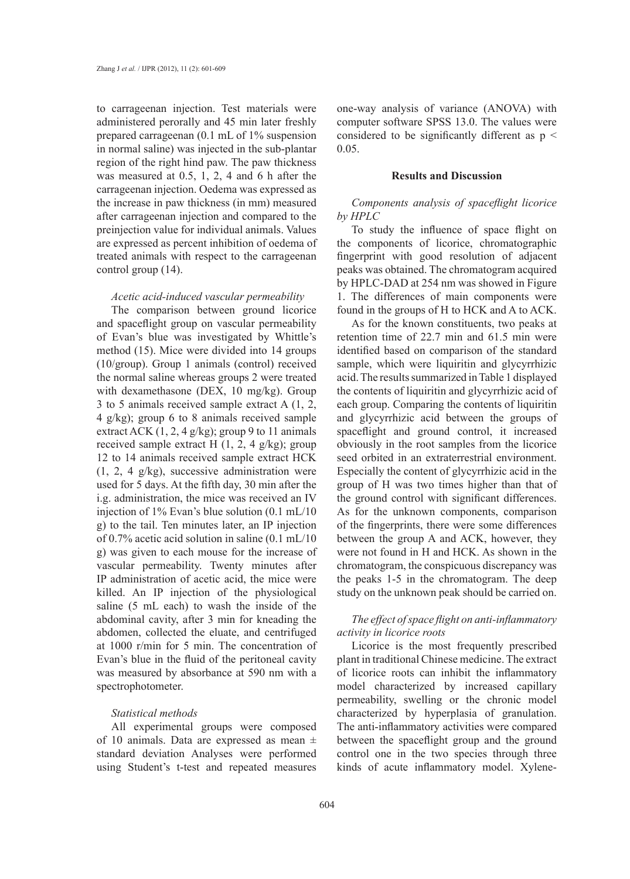to carrageenan injection. Test materials were administered perorally and 45 min later freshly prepared carrageenan (0.1 mL of 1% suspension in normal saline) was injected in the sub-plantar region of the right hind paw. The paw thickness was measured at 0.5, 1, 2, 4 and 6 h after the carrageenan injection. Oedema was expressed as the increase in paw thickness (in mm) measured after carrageenan injection and compared to the preinjection value for individual animals. Values are expressed as percent inhibition of oedema of treated animals with respect to the carrageenan control group (14).

## *Acetic acid-induced vascular permeability*

The comparison between ground licorice and spaceflight group on vascular permeability of Evan's blue was investigated by Whittle's method (15). Mice were divided into 14 groups (10/group). Group 1 animals (control) received the normal saline whereas groups 2 were treated with dexamethasone (DEX, 10 mg/kg). Group 3 to 5 animals received sample extract A (1, 2, 4 g/kg); group 6 to 8 animals received sample extract ACK  $(1, 2, 4 \text{ g/kg})$ ; group 9 to 11 animals received sample extract H  $(1, 2, 4 \text{ g/kg})$ ; group 12 to 14 animals received sample extract HCK (1, 2, 4 g/kg), successive administration were used for 5 days. At the fifth day, 30 min after the i.g. administration, the mice was received an IV injection of 1% Evan's blue solution (0.1 mL/10 g) to the tail. Ten minutes later, an IP injection of 0.7% acetic acid solution in saline (0.1 mL/10 g) was given to each mouse for the increase of vascular permeability. Twenty minutes after IP administration of acetic acid, the mice were killed. An IP injection of the physiological saline (5 mL each) to wash the inside of the abdominal cavity, after 3 min for kneading the abdomen, collected the eluate, and centrifuged at 1000 r/min for 5 min. The concentration of Evan's blue in the fluid of the peritoneal cavity was measured by absorbance at 590 nm with a spectrophotometer.

# *Statistical methods*

All experimental groups were composed of 10 animals. Data are expressed as mean ± standard deviation Analyses were performed using Student's t-test and repeated measures one-way analysis of variance (ANOVA) with computer software SPSS 13.0. The values were considered to be significantly different as  $p \leq$ 0.05.

#### **Results and Discussion**

# *Components analysis of spaceflight licorice by HPLC*

To study the influence of space flight on the components of licorice, chromatographic fingerprint with good resolution of adjacent peaks was obtained. The chromatogram acquired by HPLC-DAD at 254 nm was showed in Figure 1. The differences of main components were found in the groups of H to HCK and A to ACK.

As for the known constituents, two peaks at retention time of 22.7 min and 61.5 min were identified based on comparison of the standard sample, which were liquiritin and glycyrrhizic acid. The results summarized in Table 1 displayed the contents of liquiritin and glycyrrhizic acid of each group. Comparing the contents of liquiritin and glycyrrhizic acid between the groups of spaceflight and ground control, it increased obviously in the root samples from the licorice seed orbited in an extraterrestrial environment. Especially the content of glycyrrhizic acid in the group of H was two times higher than that of the ground control with significant differences. As for the unknown components, comparison of the fingerprints, there were some differences between the group A and ACK, however, they were not found in H and HCK. As shown in the chromatogram, the conspicuous discrepancy was the peaks 1-5 in the chromatogram. The deep study on the unknown peak should be carried on.

# *The effect of space flight on anti-inflammatory activity in licorice roots*

Licorice is the most frequently prescribed plant in traditional Chinese medicine. The extract of licorice roots can inhibit the inflammatory model characterized by increased capillary permeability, swelling or the chronic model characterized by hyperplasia of granulation. The anti-inflammatory activities were compared between the spaceflight group and the ground control one in the two species through three kinds of acute inflammatory model. Xylene-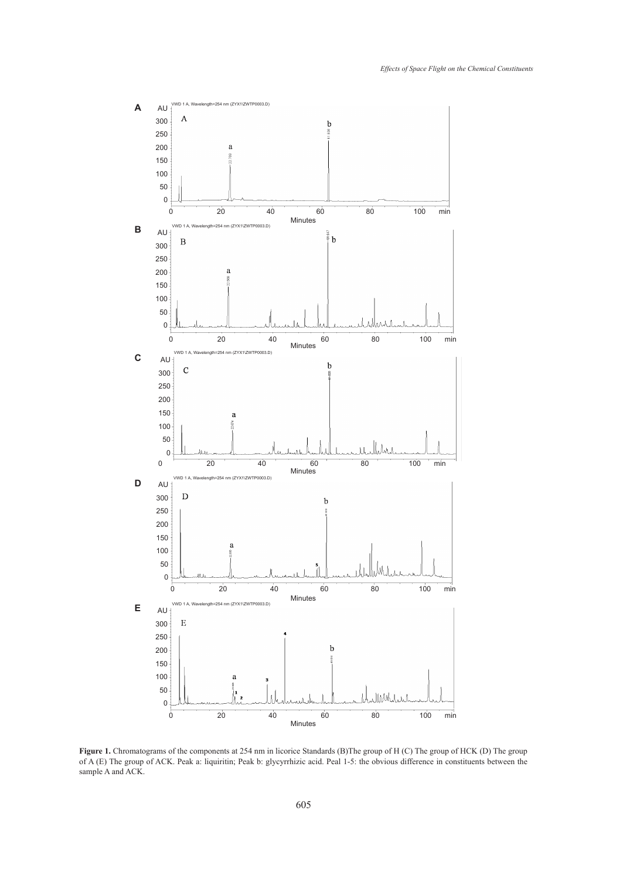

**Figure 1.** Chromatograms of the components at 254 nm in licorice Standards (B)The group of H (C) The group of HCK (D) The group of A (E) The group of ACK. Peak a: liquiritin; Peak b: glycyrrhizic acid. Peal 1-5: the obvious difference in constituents between the sample A and ACK.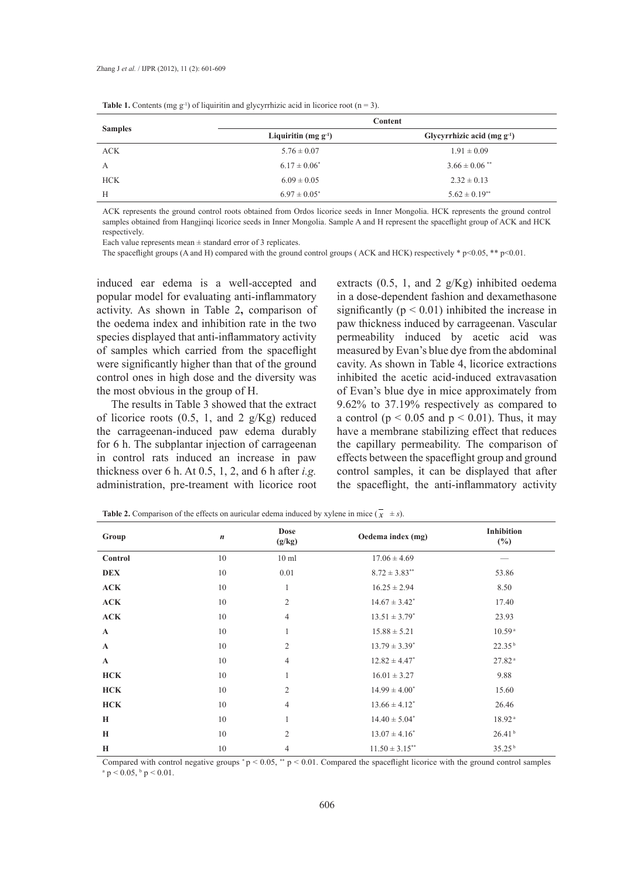| <b>Samples</b> | Content                   |                                  |  |
|----------------|---------------------------|----------------------------------|--|
|                | Liquiritin (mg $g^{-1}$ ) | Glycyrrhizic acid (mg $g^{-1}$ ) |  |
| <b>ACK</b>     | $5.76 \pm 0.07$           | $1.91 \pm 0.09$                  |  |
| A              | $6.17 \pm 0.06^*$         | $3.66 \pm 0.06$ <sup>**</sup>    |  |
| <b>HCK</b>     | $6.09 \pm 0.05$           | $2.32 \pm 0.13$                  |  |
| H              | $6.97 \pm 0.05^*$         | $5.62 \pm 0.19$ **               |  |

**Table 1.** Contents (mg  $g^{-1}$ ) of liquiritin and glycyrrhizic acid in licorice root (n = 3).

ACK represents the ground control roots obtained from Ordos licorice seeds in Inner Mongolia. HCK represents the ground control samples obtained from Hangjinqi licorice seeds in Inner Mongolia. Sample A and H represent the spaceflight group of ACK and HCK respectively.

Each value represents mean  $\pm$  standard error of 3 replicates.

The spaceflight groups (A and H) compared with the ground control groups (ACK and HCK) respectively \* p<0.05, \*\* p<0.01.

induced ear edema is a well-accepted and popular model for evaluating anti-inflammatory activity. As shown in Table 2**,** comparison of the oedema index and inhibition rate in the two species displayed that anti-inflammatory activity of samples which carried from the spaceflight were significantly higher than that of the ground control ones in high dose and the diversity was the most obvious in the group of H.

The results in Table 3 showed that the extract of licorice roots  $(0.5, 1, \text{ and } 2 \text{ g/Kg})$  reduced the carrageenan-induced paw edema durably for 6 h. The subplantar injection of carrageenan in control rats induced an increase in paw thickness over 6 h. At 0.5, 1, 2, and 6 h after *i.g.* administration, pre-treament with licorice root extracts  $(0.5, 1, \text{ and } 2 \text{ g/Kg})$  inhibited oedema in a dose-dependent fashion and dexamethasone significantly ( $p < 0.01$ ) inhibited the increase in paw thickness induced by carrageenan. Vascular permeability induced by acetic acid was measured by Evan's blue dye from the abdominal cavity. As shown in Table 4, licorice extractions inhibited the acetic acid-induced extravasation of Evan's blue dye in mice approximately from 9.62% to 37.19% respectively as compared to a control ( $p < 0.05$  and  $p < 0.01$ ). Thus, it may have a membrane stabilizing effect that reduces the capillary permeability. The comparison of effects between the spaceflight group and ground control samples, it can be displayed that after the spaceflight, the anti-inflammatory activity

| Group        | $\boldsymbol{n}$ | <b>Dose</b><br>(g/kg) | Oedema index (mg)    | Inhibition<br>$(\%)$ |
|--------------|------------------|-----------------------|----------------------|----------------------|
| Control      | 10               | $10 \text{ ml}$       | $17.06 \pm 4.69$     |                      |
| <b>DEX</b>   | 10               | 0.01                  | $8.72 \pm 3.83^{**}$ | 53.86                |
| ACK          | 10               | $\mathbf{1}$          | $16.25 \pm 2.94$     | 8.50                 |
| ACK          | 10               | $\mathfrak{2}$        | $14.67 \pm 3.42^*$   | 17.40                |
| ACK          | 10               | $\overline{4}$        | $13.51 \pm 3.79^*$   | 23.93                |
| $\mathbf{A}$ | 10               | $\mathbf{1}$          | $15.88 \pm 5.21$     | 10.59 <sup>a</sup>   |
| $\mathbf A$  | 10               | $\mathfrak{2}$        | $13.79 \pm 3.39^*$   | 22.35 <sup>b</sup>   |
| $\mathbf{A}$ | 10               | $\overline{4}$        | $12.82 \pm 4.47^*$   | 27.82 <sup>a</sup>   |
| <b>HCK</b>   | 10               | $\mathbf{1}$          | $16.01 \pm 3.27$     | 9.88                 |
| <b>HCK</b>   | 10               | $\overline{2}$        | $14.99 \pm 4.00^*$   | 15.60                |
| <b>HCK</b>   | 10               | $\overline{4}$        | $13.66 \pm 4.12^*$   | 26.46                |
| H            | 10               | $\mathbf{1}$          | $14.40 \pm 5.04^*$   | 18.92 <sup>a</sup>   |
| H            | 10               | $\overline{2}$        | $13.07 \pm 4.16^*$   | 26.41 <sup>b</sup>   |
| H            | 10               | $\overline{4}$        | $11.50 \pm 3.15$ **  | 35.25 <sup>b</sup>   |

**Table 2.** Comparison of the effects on auricular edema induced by xylene in mice  $(\bar{x} \pm s)$ .

Compared with control negative groups  $p < 0.05$ ,  $p < 0.01$ . Compared the spaceflight licorice with the ground control samples  $a$  p < 0.05,  $b$  p < 0.01.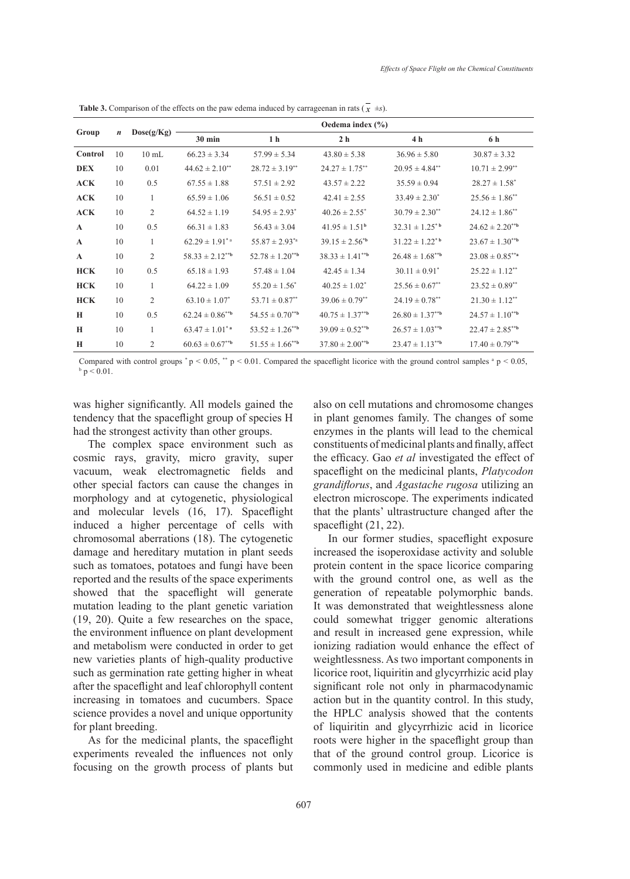| Oedema index $(\% )$<br>Dose(g/Kg)<br>Group<br>$\boldsymbol{n}$<br>1 <sub>h</sub><br>2 <sub>h</sub><br>4 <sub>h</sub><br>$30$ min<br>6 h<br>$66.23 \pm 3.34$<br>$43.80 \pm 5.38$<br>$36.96 \pm 5.80$<br>$30.87 \pm 3.32$<br>Control<br>10<br>$10 \text{ mL}$<br>$57.99 \pm 5.34$<br>$28.72 \pm 3.19^{**}$<br>$24.27 \pm 1.75$ **<br>$20.95 \pm 4.84^{**}$<br>0.01<br>$44.62 \pm 2.10^{**}$<br>$10.71 \pm 2.99$ **<br><b>DEX</b><br>10<br>0.5<br>$28.27 \pm 1.58^*$<br>ACK<br>$67.55 \pm 1.88$<br>$57.51 \pm 2.92$<br>$43.57 \pm 2.22$<br>$35.59 \pm 0.94$<br>10 |  |  |  |  |  |  |
|-----------------------------------------------------------------------------------------------------------------------------------------------------------------------------------------------------------------------------------------------------------------------------------------------------------------------------------------------------------------------------------------------------------------------------------------------------------------------------------------------------------------------------------------------------------------|--|--|--|--|--|--|
|                                                                                                                                                                                                                                                                                                                                                                                                                                                                                                                                                                 |  |  |  |  |  |  |
|                                                                                                                                                                                                                                                                                                                                                                                                                                                                                                                                                                 |  |  |  |  |  |  |
|                                                                                                                                                                                                                                                                                                                                                                                                                                                                                                                                                                 |  |  |  |  |  |  |
|                                                                                                                                                                                                                                                                                                                                                                                                                                                                                                                                                                 |  |  |  |  |  |  |
|                                                                                                                                                                                                                                                                                                                                                                                                                                                                                                                                                                 |  |  |  |  |  |  |
| ACK<br>10<br>$\mathbf{1}$<br>$65.59 \pm 1.06$<br>$56.51 \pm 0.52$<br>$42.41 \pm 2.55$<br>$33.49 \pm 2.30^*$<br>$25.56 \pm 1.86^{**}$                                                                                                                                                                                                                                                                                                                                                                                                                            |  |  |  |  |  |  |
| 2<br>ACK<br>$54.95 \pm 2.93^*$<br>$40.26 \pm 2.55^*$<br>$30.79 \pm 2.30^{**}$<br>$24.12 \pm 1.86$ <sup>**</sup><br>10<br>$64.52 \pm 1.19$                                                                                                                                                                                                                                                                                                                                                                                                                       |  |  |  |  |  |  |
| 0.5<br>$32.31 \pm 1.25^{*}$<br>$41.95 \pm 1.51^{\circ}$<br>10<br>$66.31 \pm 1.83$<br>$56.43 \pm 3.04$<br>$24.62 \pm 2.20^{**}$<br>$\mathbf{A}$                                                                                                                                                                                                                                                                                                                                                                                                                  |  |  |  |  |  |  |
| $55.87 \pm 2.93^{*a}$<br>$23.67 \pm 1.30^{**b}$<br>10<br>$\mathbf{1}$<br>$62.29 \pm 1.91^{\ast}$ <sup>a</sup><br>$39.15 \pm 2.56^{*b}$<br>$31.22 \pm 1.22$ <sup>*b</sup><br>$\mathbf A$                                                                                                                                                                                                                                                                                                                                                                         |  |  |  |  |  |  |
| 2<br>$58.33 \pm 2.12^{**b}$<br>$26.48 \pm 1.68^{**b}$<br>$23.08 \pm 0.85^{**}$ a<br>10<br>$52.78 \pm 1.20^{**b}$<br>$38.33 \pm 1.41^{*b}$<br>$\mathbf{A}$                                                                                                                                                                                                                                                                                                                                                                                                       |  |  |  |  |  |  |
| 0.5<br>$30.11 \pm 0.91^*$<br><b>HCK</b><br>$25.22 \pm 1.12$ **<br>10<br>$65.18 \pm 1.93$<br>$57.48 \pm 1.04$<br>$42.45 \pm 1.34$                                                                                                                                                                                                                                                                                                                                                                                                                                |  |  |  |  |  |  |
| <b>HCK</b><br>$55.20 \pm 1.56^*$<br>$40.25 \pm 1.02^*$<br>$25.56 \pm 0.67$ **<br>$23.52 \pm 0.89^{**}$<br>10<br>1<br>$64.22 \pm 1.09$                                                                                                                                                                                                                                                                                                                                                                                                                           |  |  |  |  |  |  |
| 2<br>$53.71 \pm 0.87$ **<br><b>HCK</b><br>$63.10 \pm 1.07^*$<br>$39.06 \pm 0.79$ <sup>**</sup><br>$24.19 \pm 0.78$ **<br>$21.30 \pm 1.12$ <sup>**</sup><br>10                                                                                                                                                                                                                                                                                                                                                                                                   |  |  |  |  |  |  |
| 0.5<br>10<br>$62.24 \pm 0.86^{**b}$<br>$54.55 \pm 0.70^{**b}$<br>$40.75 \pm 1.37***$<br>$26.80 \pm 1.37^{**b}$<br>$24.57 \pm 1.10^{**b}$<br>H                                                                                                                                                                                                                                                                                                                                                                                                                   |  |  |  |  |  |  |
| $39.09 \pm 0.52^{**b}$<br>$22.47 \pm 2.85^{**b}$<br>$63.47 \pm 1.01$ <sup>*</sup> <sup>a</sup><br>$53.52 \pm 1.26^{**b}$<br>$26.57 \pm 1.03^{**b}$<br>$\mathbf H$<br>10<br>1                                                                                                                                                                                                                                                                                                                                                                                    |  |  |  |  |  |  |
| $\overline{c}$<br>$60.63 \pm 0.67^{**b}$<br>$51.55 \pm 1.66^{**b}$<br>$37.80 \pm 2.00^{**b}$<br>$23.47 \pm 1.13^{**b}$<br>$17.40 \pm 0.79^{**b}$<br>$\mathbf H$<br>10                                                                                                                                                                                                                                                                                                                                                                                           |  |  |  |  |  |  |

**Table 3.** Comparison of the effects on the paw edema induced by carrageenan in rats  $(\vec{x} \pm s)$ .

Compared with control groups  $p < 0.05$ ,  $p < 0.01$ . Compared the spaceflight licorice with the ground control samples  $p < 0.05$ ,  $p < 0.01$  $b$  p  $< 0.01$ .

was higher significantly. All models gained the tendency that the spaceflight group of species H had the strongest activity than other groups.

The complex space environment such as cosmic rays, gravity, micro gravity, super vacuum, weak electromagnetic fields and other special factors can cause the changes in morphology and at cytogenetic, physiological and molecular levels (16, 17). Spaceflight induced a higher percentage of cells with chromosomal aberrations (18). The cytogenetic damage and hereditary mutation in plant seeds such as tomatoes, potatoes and fungi have been reported and the results of the space experiments showed that the spaceflight will generate mutation leading to the plant genetic variation (19, 20). Quite a few researches on the space, the environment influence on plant development and metabolism were conducted in order to get new varieties plants of high-quality productive such as germination rate getting higher in wheat after the spaceflight and leaf chlorophyll content increasing in tomatoes and cucumbers. Space science provides a novel and unique opportunity for plant breeding.

As for the medicinal plants, the spaceflight experiments revealed the influences not only focusing on the growth process of plants but also on cell mutations and chromosome changes in plant genomes family. The changes of some enzymes in the plants will lead to the chemical constituents of medicinal plants and finally, affect the efficacy. Gao *et al* investigated the effect of spaceflight on the medicinal plants, *Platycodon grandiflorus*, and *Agastache rugosa* utilizing an electron microscope. The experiments indicated that the plants' ultrastructure changed after the spaceflight (21, 22).

In our former studies, spaceflight exposure increased the isoperoxidase activity and soluble protein content in the space licorice comparing with the ground control one, as well as the generation of repeatable polymorphic bands. It was demonstrated that weightlessness alone could somewhat trigger genomic alterations and result in increased gene expression, while ionizing radiation would enhance the effect of weightlessness. As two important components in licorice root, liquiritin and glycyrrhizic acid play significant role not only in pharmacodynamic action but in the quantity control. In this study, the HPLC analysis showed that the contents of liquiritin and glycyrrhizic acid in licorice roots were higher in the spaceflight group than that of the ground control group. Licorice is commonly used in medicine and edible plants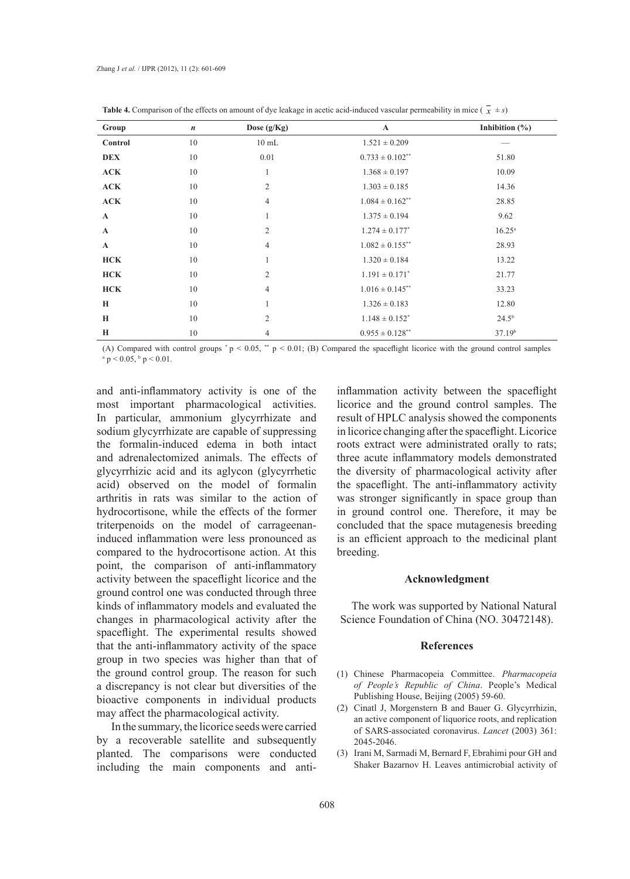| Group        | $\boldsymbol{n}$ | Dose (g/Kg)     | $\mathbf A$                    | Inhibition $(\% )$ |
|--------------|------------------|-----------------|--------------------------------|--------------------|
| Control      | 10               | $10 \text{ mL}$ | $1.521 \pm 0.209$              |                    |
| <b>DEX</b>   | 10               | 0.01            | $0.733 \pm 0.102$ **           | 51.80              |
| ACK          | 10               | 1               | $1.368 \pm 0.197$              | 10.09              |
| ACK          | 10               | $\overline{2}$  | $1.303 \pm 0.185$              | 14.36              |
| ACK          | 10               | $\overline{4}$  | $1.084 \pm 0.162$ **           | 28.85              |
| $\mathbf{A}$ | 10               | 1               | $1.375 \pm 0.194$              | 9.62               |
| $\mathbf A$  | 10               | $\overline{c}$  | $1.274 \pm 0.177^*$            | $16.25^{\circ}$    |
| $\mathbf{A}$ | 10               | $\overline{4}$  | $1.082 \pm 0.155$ **           | 28.93              |
| <b>HCK</b>   | 10               | $\mathbf{1}$    | $1.320 \pm 0.184$              | 13.22              |
| <b>HCK</b>   | 10               | $\overline{2}$  | $1.191 \pm 0.171$ <sup>*</sup> | 21.77              |
| <b>HCK</b>   | 10               | $\overline{4}$  | $1.016 \pm 0.145$ **           | 33.23              |
| H            | 10               | $\mathbf{1}$    | $1.326 \pm 0.183$              | 12.80              |
| H            | 10               | 2               | $1.148 \pm 0.152^*$            | 24.5 <sup>b</sup>  |
| H            | 10               | $\overline{4}$  | $0.955 \pm 0.128$ **           | 37.19 <sup>b</sup> |

**Table 4.** Comparison of the effects on amount of dye leakage in acetic acid-induced vascular permeability in mice ( $\overline{x}$   $\pm s$ )

(A) Compared with control groups  $^*$  p < 0.05,  $^*$  p < 0.01; (B) Compared the spaceflight licorice with the ground control samples  $\rm{^a\,p< 0.05, \, ^b\,p< 0.01.}$ 

and anti-inflammatory activity is one of the most important pharmacological activities. In particular, ammonium glycyrrhizate and sodium glycyrrhizate are capable of suppressing the formalin-induced edema in both intact and adrenalectomized animals. The effects of glycyrrhizic acid and its aglycon (glycyrrhetic acid) observed on the model of formalin arthritis in rats was similar to the action of hydrocortisone, while the effects of the former triterpenoids on the model of carrageenaninduced inflammation were less pronounced as compared to the hydrocortisone action. At this point, the comparison of anti-inflammatory activity between the spaceflight licorice and the ground control one was conducted through three kinds of inflammatory models and evaluated the changes in pharmacological activity after the spaceflight. The experimental results showed that the anti-inflammatory activity of the space group in two species was higher than that of the ground control group. The reason for such a discrepancy is not clear but diversities of the bioactive components in individual products may affect the pharmacological activity.

In the summary, the licorice seeds were carried by a recoverable satellite and subsequently planted. The comparisons were conducted including the main components and antiinflammation activity between the spaceflight licorice and the ground control samples. The result of HPLC analysis showed the components in licorice changing after the spaceflight. Licorice roots extract were administrated orally to rats; three acute inflammatory models demonstrated the diversity of pharmacological activity after the spaceflight. The anti-inflammatory activity was stronger significantly in space group than in ground control one. Therefore, it may be concluded that the space mutagenesis breeding is an efficient approach to the medicinal plant breeding.

### **Acknowledgment**

The work was supported by National Natural Science Foundation of China (NO. 30472148).

# **References**

- Chinese Pharmacopeia Committee. *Pharmacopeia*  (1) *of People's Republic of China*. People's Medical Publishing House, Beijing (2005) 59-60.
- Cinatl J, Morgenstern B and Bauer G. Glycyrrhizin, (2) an active component of liquorice roots, and replication of SARS-associated coronavirus. *Lancet* (2003) 361: 2045-2046.
- (3) Irani M, Sarmadi M, Bernard F, Ebrahimi pour GH and Shaker Bazarnov H. Leaves antimicrobial activity of